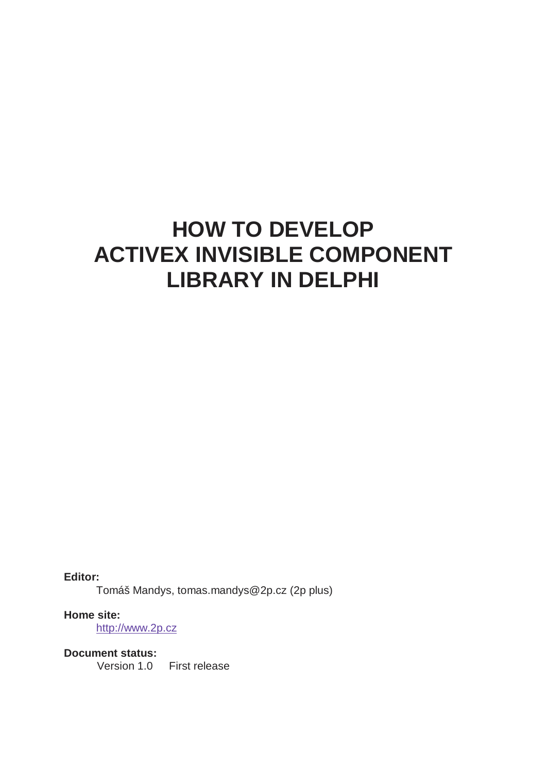# **HOW TO DEVELOP ACTIVEX INVISIBLE COMPONENT LIBRARY IN DELPHI**

**Editor:**  Tomáš Mandys, tomas.mandys@2p.cz (2p plus)

**Home site:**  http://www.2p.cz

**Document status:**  Version 1.0 First release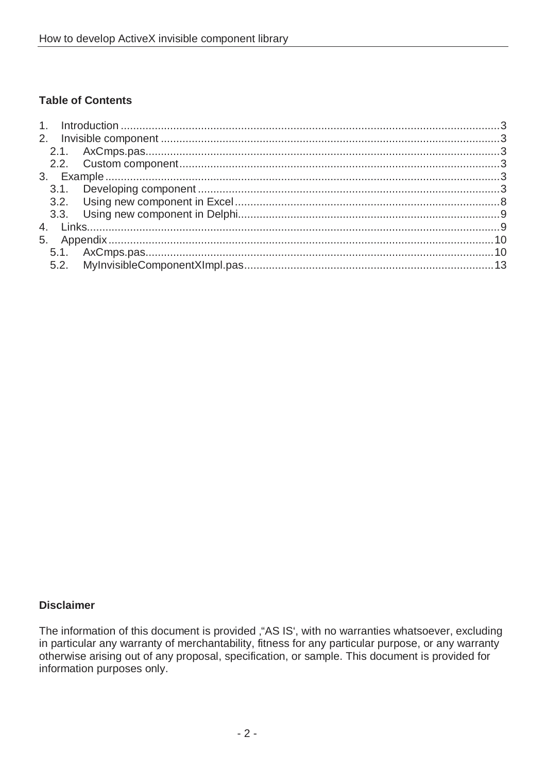### **Table of Contents**

#### **Disclaimer**

The information of this document is provided , "AS IS', with no warranties whatsoever, excluding in particular any warranty of merchantability, fitness for any particular purpose, or any warranty otherwise arising out of any proposal, specification, or sample. This document is provided for information purposes only.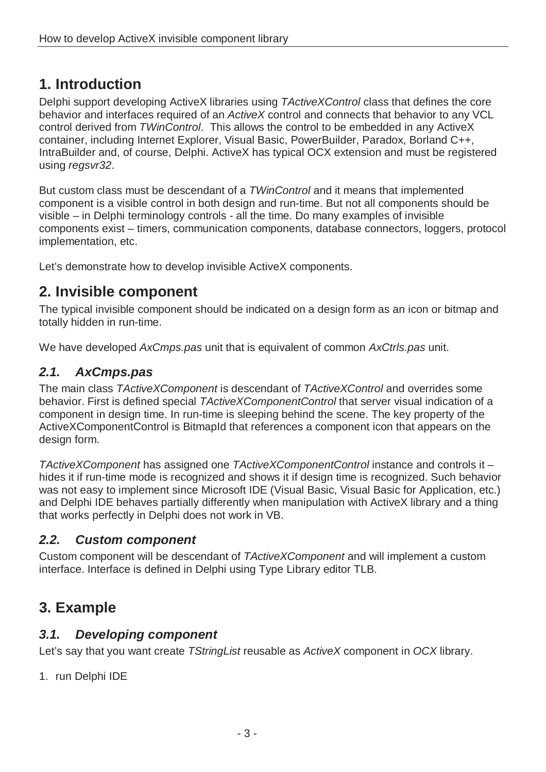# **1. Introduction**

Delphi support developing ActiveX libraries using TActiveXControl class that defines the core behavior and interfaces required of an ActiveX control and connects that behavior to any VCL control derived from TWinControl. This allows the control to be embedded in any ActiveX container, including Internet Explorer, Visual Basic, PowerBuilder, Paradox, Borland C++, IntraBuilder and, of course, Delphi. ActiveX has typical OCX extension and must be registered using regsvr32.

But custom class must be descendant of a TWinControl and it means that implemented component is a visible control in both design and run-time. But not all components should be visible – in Delphi terminology controls - all the time. Do many examples of invisible components exist – timers, communication components, database connectors, loggers, protocol implementation, etc.

Let's demonstrate how to develop invisible ActiveX components.

# **2. Invisible component**

The typical invisible component should be indicated on a design form as an icon or bitmap and totally hidden in run-time.

We have developed AxCmps.pas unit that is equivalent of common AxCtrls.pas unit.

## **2.1. AxCmps.pas**

The main class TActiveXComponent is descendant of TActiveXControl and overrides some behavior. First is defined special TActiveXComponentControl that server visual indication of a component in design time. In run-time is sleeping behind the scene. The key property of the ActiveXComponentControl is BitmapId that references a component icon that appears on the design form.

TActiveXComponent has assigned one TActiveXComponentControl instance and controls it – hides it if run-time mode is recognized and shows it if design time is recognized. Such behavior was not easy to implement since Microsoft IDE (Visual Basic, Visual Basic for Application, etc.) and Delphi IDE behaves partially differently when manipulation with ActiveX library and a thing that works perfectly in Delphi does not work in VB.

## **2.2. Custom component**

Custom component will be descendant of TActiveXComponent and will implement a custom interface. Interface is defined in Delphi using Type Library editor TLB.

# **3. Example**

## **3.1. Developing component**

Let's say that you want create TStringList reusable as ActiveX component in OCX library.

1. run Delphi IDE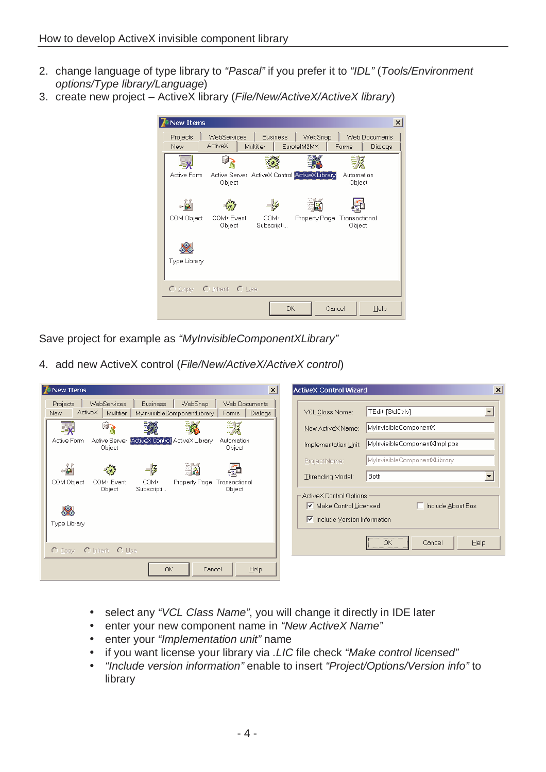- 2. change language of type library to "Pascal" if you prefer it to "IDL" (Tools/Environment options/Type library/Language)
- 3. create new project ActiveX library (File/New/ActiveX/ActiveX library)

| New Items    |                      |                                               |                    |               |                         | ×             |
|--------------|----------------------|-----------------------------------------------|--------------------|---------------|-------------------------|---------------|
| Projects     | WebServices          |                                               | <b>Business</b>    | WebSnap       |                         | Web Documents |
| <b>New</b>   | ActiveX              | Multitier                                     |                    | EurotelM2MX   | Forms                   | Dialogs       |
|              |                      |                                               |                    |               |                         |               |
| Active Form  | Object               | Active Server ActiveX Control ActiveX Library |                    |               | Automation<br>Object    |               |
|              |                      |                                               |                    |               |                         |               |
| COM Object   | COM+ Event<br>Object |                                               | COM+<br>Subscripti | Property Page | Transactional<br>Object |               |
| Type Library |                      |                                               |                    |               |                         |               |
|              |                      |                                               |                    |               |                         |               |
| $O$ Copy     | O Inherit O Use      |                                               |                    |               |                         |               |
|              |                      |                                               | ОК                 |               | Cancel                  | Help          |

Save project for example as "MyInvisibleComponentXLibrary"

4. add new ActiveX control (File/New/ActiveX/ActiveX control)

| <b>7</b> New Items<br>$\mathbf{x}$                                                                                                                                     | $\vert x \vert$<br><b>ActiveX Control Wizard</b>            |
|------------------------------------------------------------------------------------------------------------------------------------------------------------------------|-------------------------------------------------------------|
| <b>Business</b><br>WebSnap<br>Web Documents<br><b>WebServices</b><br>Projects<br>ActiveX<br>Multitier<br>MylnvisibleComponentLibrary<br>Dialogs<br><b>New</b><br>Forms | TEdit [StdCtrls]<br>VCL Class Name:                         |
| 美好<br>67<br>- X                                                                                                                                                        | MylnvisibleComponentX<br>New ActiveX Name:                  |
| ActiveX Control: ActiveX Library<br>Active Form<br>Active Server<br>Automation<br>Object<br>Object                                                                     | MylnvisibleComponentXImpl.pas<br>Implementation Unit:       |
| in.<br>-Ę                                                                                                                                                              | MylnvisibleComponentXLibrary<br>Project Name:               |
| Property Page<br>COM Object<br>COM+ Event<br>COM+<br>Transactional                                                                                                     | Both<br>Threading Model:                                    |
| Subscripti<br>Object<br>Object                                                                                                                                         | ActiveX Control Options                                     |
| S.                                                                                                                                                                     | $\triangleright$ Make Control Licensed<br>Include About Box |
| Type Library                                                                                                                                                           | $\triangleright$ Include Version Information                |
|                                                                                                                                                                        | OK<br>Help<br>Cancel                                        |
| O Inherit O Use<br>$O$ Copy                                                                                                                                            |                                                             |
| <b>OK</b><br>Help<br>Cancel                                                                                                                                            |                                                             |

- select any "VCL Class Name", you will change it directly in IDE later
- enter your new component name in "New ActiveX Name"
- enter your "Implementation unit" name
- if you want license your library via .LIC file check "Make control licensed"
- "Include version information" enable to insert "Project/Options/Version info" to library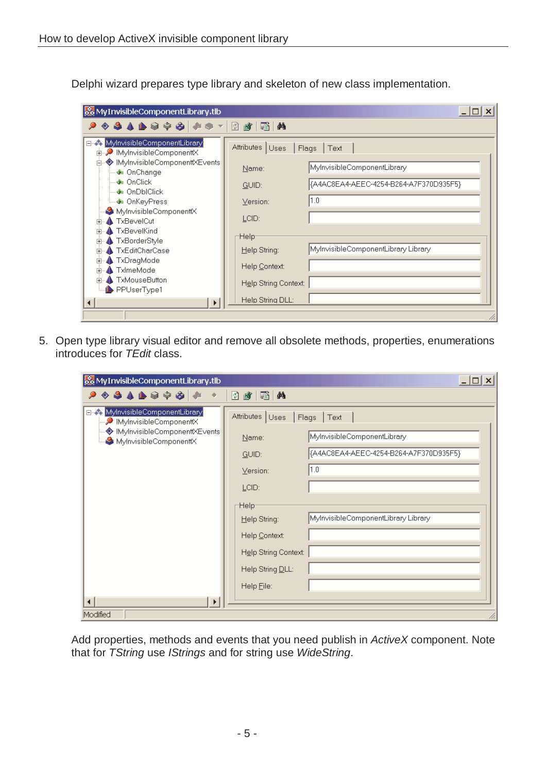Delphi wizard prepares type library and skeleton of new class implementation.

| oo MyInvisibleComponentLibrary.tlb                                                                                                                                                                                                                                                                                                                                                                                                     |                                                                                                                                                |                                                                                                                                      |  |  |  |  |
|----------------------------------------------------------------------------------------------------------------------------------------------------------------------------------------------------------------------------------------------------------------------------------------------------------------------------------------------------------------------------------------------------------------------------------------|------------------------------------------------------------------------------------------------------------------------------------------------|--------------------------------------------------------------------------------------------------------------------------------------|--|--|--|--|
| ◈♣ለ▶◈◈◈∥♪◈▾▏▨                                                                                                                                                                                                                                                                                                                                                                                                                          | 齏<br>蟠<br>đΦ                                                                                                                                   |                                                                                                                                      |  |  |  |  |
| □ « MylnvisibleComponentLibrary<br>由→ ● IMyInvisibleComponenttX<br>白 – ♥ IMyInvisibleComponenttXEvents<br>…… ♦ OnChange<br>— ♣⊪ OnClick<br>- � OnDblClick<br><del>i</del> OnKeyPress ⊕<br>MylnvisibleComponenttX<br><b>A</b> TxBevelCut<br>中一<br>$\spadesuit$ TxBevelKind<br>中<br>TxBorderStyle<br>围<br><b>TxEditCharCase</b><br>中<br>TxDragMode<br>庙<br><b>▲ TxlmeMode</b><br>$\overline{+}$<br><b>E</b> TxMouseButton<br>PPUserType1 | Attributes   Uses<br>Name:<br>GUID:<br>Version:<br>LCID:<br>:Help<br>Help String:<br>Help Context:<br>Help String Context:<br>Help String DLL: | Flags<br>Text<br>MylnvisibleComponentLibrary<br>{A4AC8EA4-AEEC-4254-B264-A7F370D935F5}<br>1.0<br>MylnvisibleComponentLibrary Library |  |  |  |  |
|                                                                                                                                                                                                                                                                                                                                                                                                                                        |                                                                                                                                                |                                                                                                                                      |  |  |  |  |

5. Open type library visual editor and remove all obsolete methods, properties, enumerations introduces for TEdit class.

| MyInvisibleComponentLibrary.tlb                                                                                             |                                                                                                                                                                                                                                                                                                               | $ \Box$ $\times$ |
|-----------------------------------------------------------------------------------------------------------------------------|---------------------------------------------------------------------------------------------------------------------------------------------------------------------------------------------------------------------------------------------------------------------------------------------------------------|------------------|
| 90010000000                                                                                                                 | 通<br>◙<br>[酯]<br>44                                                                                                                                                                                                                                                                                           |                  |
| □ · MylnvisibleComponentLibrary<br>MylnvisibleComponenttX<br>◆ IMyInvisibleComponenttXEvents<br>MylnvisibleComponenttX<br>▶ | Attributes   Uses<br>Flags<br>$ $ Text<br>MylnvisibleComponentLibrary<br>Name:<br>{A4AC8EA4-AEEC-4254-B264-A7F370D935F5}<br>GUID:<br> 1.0 <br>$Y$ ersion:<br>LCID:<br>Help-<br>MylnvisibleComponentLibrary Library<br>Help String:<br>Help Context:<br>Help String Context:<br>Help String DLL:<br>Help File: |                  |
| Modified                                                                                                                    |                                                                                                                                                                                                                                                                                                               |                  |

Add properties, methods and events that you need publish in ActiveX component. Note that for TString use IStrings and for string use WideString.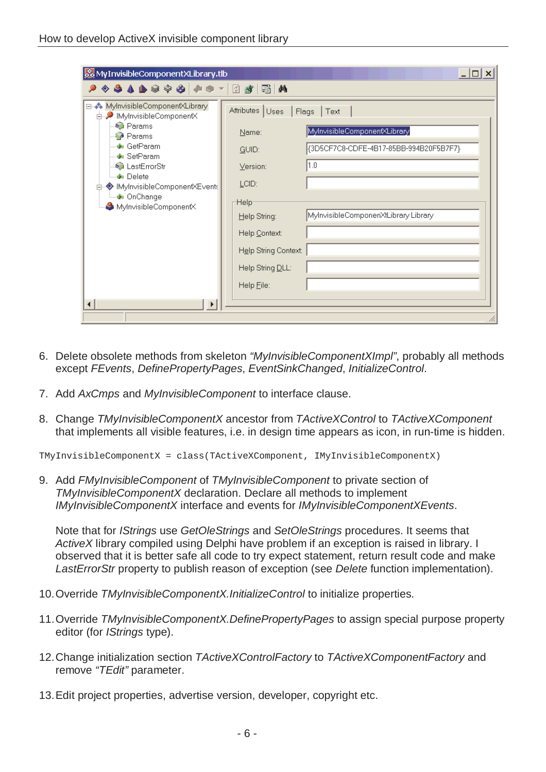| & MyInvisibleComponentXLibrary.tlb                                |                      | $\times$                               |
|-------------------------------------------------------------------|----------------------|----------------------------------------|
| , ♦ ♦ ♦ ♦ ♦ ♦ ♦ ♦ ♦ ♦ ♦ ♦ ♦ ♦                                     | 44<br>蟠              |                                        |
| ⊟- Stephalistic Component XLibrary<br>d- • IMylnvisibleComponentX | Attributes Uses      | Flags   Text                           |
| <b>C</b> Params<br><b>Params</b>                                  | Name:                | MylnvisibleComponentXLibrary           |
| ∙ GetParam<br>…∲∎ SetParam                                        | GUID:                | {3D5CF7C8-CDFE-4B17-85BB-994B20F5B7F7} |
| CastErrorStr                                                      | $Y$ ersion:          | 1.0                                    |
| - <mark>⊕</mark> ⊪ Delete<br>◆ IMyInvisibleComponentXEvents       | LCID:                |                                        |
| ं… ♦ OnChange<br>MylnvisibleComponentX                            | :Help                |                                        |
|                                                                   | Help String:         | MylnvisibleComponenXtLibrary Library   |
|                                                                   | Help Context:        |                                        |
|                                                                   | Help String Context: |                                        |
|                                                                   | Help String DLL:     |                                        |
|                                                                   | Help File:           |                                        |
|                                                                   |                      |                                        |
|                                                                   |                      |                                        |

- 6. Delete obsolete methods from skeleton "MyInvisibleComponentXImpl", probably all methods except FEvents, DefinePropertyPages, EventSinkChanged, InitializeControl.
- 7. Add AxCmps and MyInvisibleComponent to interface clause.
- 8. Change TMyInvisibleComponentX ancestor from TActiveXControl to TActiveXComponent that implements all visible features, i.e. in design time appears as icon, in run-time is hidden.

TMyInvisibleComponentX = class(TActiveXComponent, IMyInvisibleComponentX)

9. Add FMyInvisibleComponent of TMyInvisibleComponent to private section of TMyInvisibleComponentX declaration. Declare all methods to implement IMyInvisibleComponentX interface and events for IMyInvisibleComponentXEvents.

Note that for IStrings use GetOleStrings and SetOleStrings procedures. It seems that ActiveX library compiled using Delphi have problem if an exception is raised in library. I observed that it is better safe all code to try expect statement, return result code and make LastErrorStr property to publish reason of exception (see Delete function implementation).

- 10. Override TMyInvisibleComponentX. InitializeControl to initialize properties.
- 11. Override TMyInvisibleComponentX.DefinePropertyPages to assign special purpose property editor (for IStrings type).
- 12. Change initialization section TActiveXControlFactory to TActiveXComponentFactory and remove "TEdit" parameter.
- 13. Edit project properties, advertise version, developer, copyright etc.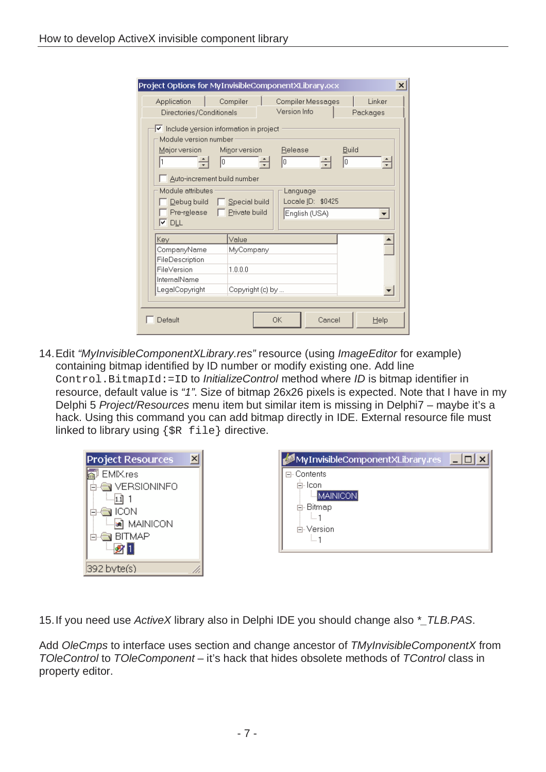| Application                                                                                                                                                                                                                                                                                                                                                                  | Compiler         | Compiler Messages | Linker |  |  |
|------------------------------------------------------------------------------------------------------------------------------------------------------------------------------------------------------------------------------------------------------------------------------------------------------------------------------------------------------------------------------|------------------|-------------------|--------|--|--|
| Version Info<br>Directories/Conditionals<br>Packages<br>Iv Include version information in project<br>Module version number<br>Minor version<br>Release<br><b>Build</b><br>Major version <b>Ma</b><br>l1<br>lo<br>lo<br>lo.<br>Auto-increment build number<br>Module attributes<br>Language<br>Locale ID: \$0425<br>$\mathop{\mathsf{Debug}}\nolimits$ build<br>Special build |                  |                   |        |  |  |
| Private build<br>$Pre$ -release $\Box$<br>English (USA)<br>l⊻ dil                                                                                                                                                                                                                                                                                                            |                  |                   |        |  |  |
|                                                                                                                                                                                                                                                                                                                                                                              |                  |                   |        |  |  |
| Key                                                                                                                                                                                                                                                                                                                                                                          | Value            |                   |        |  |  |
| CompanyName                                                                                                                                                                                                                                                                                                                                                                  | MyCompany        |                   |        |  |  |
| FileDescription                                                                                                                                                                                                                                                                                                                                                              |                  |                   |        |  |  |
| FileVersion                                                                                                                                                                                                                                                                                                                                                                  | 1000             |                   |        |  |  |
| InternalName<br>LegalCopyright                                                                                                                                                                                                                                                                                                                                               | Copyright (c) by |                   |        |  |  |

14. Edit "MyInvisibleComponentXLibrary.res" resource (using ImageEditor for example) containing bitmap identified by ID number or modify existing one. Add line Control. BitmapId: =ID to *InitializeControl* method where *ID* is bitmap identifier in resource, default value is "1". Size of bitmap 26x26 pixels is expected. Note that I have in my Delphi 5 Project/Resources menu item but similar item is missing in Delphi7 – maybe it's a hack. Using this command you can add bitmap directly in IDE. External resource file must linked to library using {\$R file} directive.

| <b>Project Resources</b> |  |
|--------------------------|--|
| 뤫 EMIX.res               |  |
| 白·● VERSIONINFO          |  |
| $-1$ 1                   |  |
| é⊹⊜a ICON                |  |
| an MAINICON              |  |
| ó-⊜a BITMAP              |  |
| -91                      |  |
| 392 byte(s)              |  |

| MyInvisibleComponentXLibrary.res |  |
|----------------------------------|--|
| ⊟⊹Contents                       |  |
| ≐- Icon                          |  |
| <b>MAINICON</b>                  |  |
| 白· Bitmap                        |  |
|                                  |  |
| 白 Version                        |  |
| i 1                              |  |
|                                  |  |

15. If you need use ActiveX library also in Delphi IDE you should change also \*\_TLB.PAS.

Add OleCmps to interface uses section and change ancestor of TMyInvisibleComponentX from TOleControl to TOleComponent – it's hack that hides obsolete methods of TControl class in property editor.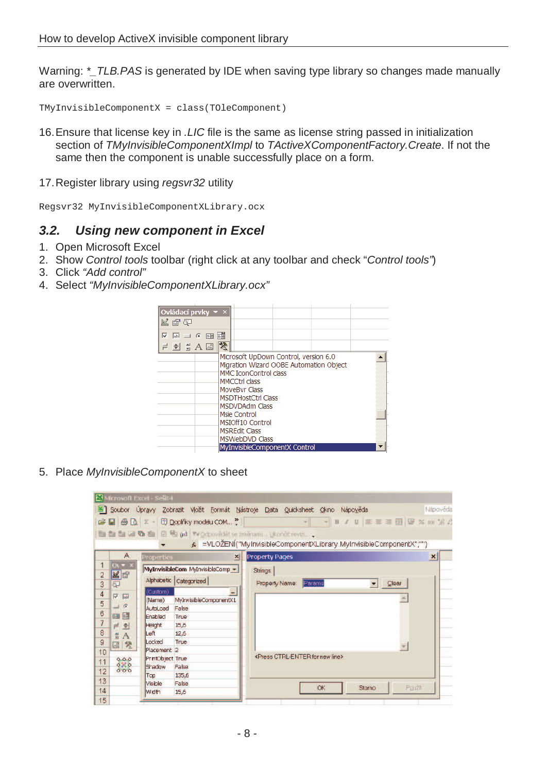Warning: \* TLB.PAS is generated by IDE when saving type library so changes made manually are overwritten.

TMyInvisibleComponentX = class(TOleComponent)

- 16. Ensure that license key in .LIC file is the same as license string passed in initialization section of TMyInvisibleComponentXImpl to TActiveXComponentFactory.Create. If not the same then the component is unable successfully place on a form.
- 17. Register library using regsvr32 utility

Regsvr32 MyInvisibleComponentXLibrary.ocx

## **3.2. Using new component in Excel**

- 1. Open Microsoft Excel
- 2. Show Control tools toolbar (right click at any toolbar and check "Control tools")
- 3. Click "Add control"
- 4. Select "MyInvisibleComponentXLibrary.ocx"



5. Place MyInvisibleComponentX to sheet

| Soubor Úpravy Zobrazit Vložit Formát Nástroje Data Quicksheet Okno Nápověda<br>$\Box \quad \text{B} \quad \Box \quad \Sigma = \Box \quad \text{Doplikky modelu COM}$<br>/ 0   三三三国图 % 00 高兴<br>Ê.<br>B<br>the the table of the path victory edet se zmenami Ukonot revizi<br>k =VLOŽENÍ("MyInvisibleComponentXLibrary.MyInvisibleComponentX";"")<br>A<br><b>Property Pages</b><br><b>Properties</b><br>$\vert x \vert$<br>$\mathbf{1}$<br>$O(1 + x)$<br>MyInvisibleCom MyInvisibleComp -<br><b>Strings</b><br>MP<br>$\overline{2}$<br>Alphabetic Categorized<br>Property Name:<br>Params<br>Clear<br>3<br>5<br>$\overline{\phantom{a}}$<br>(Custom)<br>4<br>$\overline{\triangledown}$ [ab]<br>MyInvisibleComponentX1<br>(Name)<br>5<br>$\Box$ $\odot$<br>AutoLoad<br>False<br>6<br><b>EN EN</b><br>Enabled<br>True<br>$\overline{7}$<br>15,6<br>Height<br>큰 회<br>$\overline{8}$<br>Left<br>12,6<br>릪<br>$\mathbf{A}$ | Nápověda                  |
|-----------------------------------------------------------------------------------------------------------------------------------------------------------------------------------------------------------------------------------------------------------------------------------------------------------------------------------------------------------------------------------------------------------------------------------------------------------------------------------------------------------------------------------------------------------------------------------------------------------------------------------------------------------------------------------------------------------------------------------------------------------------------------------------------------------------------------------------------------------------------------------------------------------------------|---------------------------|
|                                                                                                                                                                                                                                                                                                                                                                                                                                                                                                                                                                                                                                                                                                                                                                                                                                                                                                                       |                           |
|                                                                                                                                                                                                                                                                                                                                                                                                                                                                                                                                                                                                                                                                                                                                                                                                                                                                                                                       |                           |
|                                                                                                                                                                                                                                                                                                                                                                                                                                                                                                                                                                                                                                                                                                                                                                                                                                                                                                                       |                           |
|                                                                                                                                                                                                                                                                                                                                                                                                                                                                                                                                                                                                                                                                                                                                                                                                                                                                                                                       |                           |
|                                                                                                                                                                                                                                                                                                                                                                                                                                                                                                                                                                                                                                                                                                                                                                                                                                                                                                                       |                           |
|                                                                                                                                                                                                                                                                                                                                                                                                                                                                                                                                                                                                                                                                                                                                                                                                                                                                                                                       | $\boldsymbol{\mathsf{x}}$ |
|                                                                                                                                                                                                                                                                                                                                                                                                                                                                                                                                                                                                                                                                                                                                                                                                                                                                                                                       |                           |
|                                                                                                                                                                                                                                                                                                                                                                                                                                                                                                                                                                                                                                                                                                                                                                                                                                                                                                                       |                           |
|                                                                                                                                                                                                                                                                                                                                                                                                                                                                                                                                                                                                                                                                                                                                                                                                                                                                                                                       |                           |
|                                                                                                                                                                                                                                                                                                                                                                                                                                                                                                                                                                                                                                                                                                                                                                                                                                                                                                                       |                           |
|                                                                                                                                                                                                                                                                                                                                                                                                                                                                                                                                                                                                                                                                                                                                                                                                                                                                                                                       |                           |
|                                                                                                                                                                                                                                                                                                                                                                                                                                                                                                                                                                                                                                                                                                                                                                                                                                                                                                                       |                           |
|                                                                                                                                                                                                                                                                                                                                                                                                                                                                                                                                                                                                                                                                                                                                                                                                                                                                                                                       |                           |
|                                                                                                                                                                                                                                                                                                                                                                                                                                                                                                                                                                                                                                                                                                                                                                                                                                                                                                                       |                           |
| 9<br>Locked<br>True                                                                                                                                                                                                                                                                                                                                                                                                                                                                                                                                                                                                                                                                                                                                                                                                                                                                                                   |                           |
| 癸<br>$\mathbb{R}$<br>Placement <sub>2</sub><br>10                                                                                                                                                                                                                                                                                                                                                                                                                                                                                                                                                                                                                                                                                                                                                                                                                                                                     |                           |
| <press ctrl-enter="" for="" line="" new=""><br/>PrintObject True<br/>8.8000<br/>11</press>                                                                                                                                                                                                                                                                                                                                                                                                                                                                                                                                                                                                                                                                                                                                                                                                                            |                           |
| Shadow<br>False<br>12<br>000                                                                                                                                                                                                                                                                                                                                                                                                                                                                                                                                                                                                                                                                                                                                                                                                                                                                                          |                           |
| 135,6<br>Top                                                                                                                                                                                                                                                                                                                                                                                                                                                                                                                                                                                                                                                                                                                                                                                                                                                                                                          |                           |
| 13<br>Visible<br>False<br>OK.<br>Storno                                                                                                                                                                                                                                                                                                                                                                                                                                                                                                                                                                                                                                                                                                                                                                                                                                                                               | Použit                    |
| 14<br>Width<br>15,6<br>15                                                                                                                                                                                                                                                                                                                                                                                                                                                                                                                                                                                                                                                                                                                                                                                                                                                                                             |                           |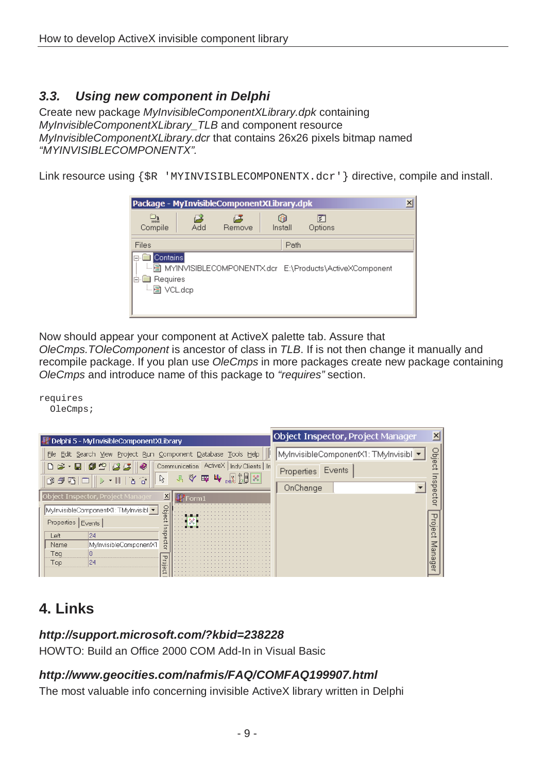# **3.3. Using new component in Delphi**

Create new package MyInvisibleComponentXLibrary.dpk containing MyInvisibleComponentXLibrary TLB and component resource MyInvisibleComponentXLibrary.dcr that contains 26x26 pixels bitmap named "MYINVISIBLECOMPONENTX".

Link resource using {\$R 'MYINVISIBLECOMPONENTX.dcr' } directive, compile and install.

| Package - MyInvisibleComponentXLibrary.dpk             |     |              |              |                                                             | × |
|--------------------------------------------------------|-----|--------------|--------------|-------------------------------------------------------------|---|
| 鷗<br>Compile                                           | Add | 63<br>Remove | m<br>Install | झ<br>Options                                                |   |
| Files                                                  |     |              | Path         |                                                             |   |
| Contains<br>口<br><b>Requires</b><br>Ėŀ<br>-- 图 VCL.dcp |     |              |              | L. A MYINVISIBLECOMPONENTX.dcr E:\Products\ActiveXComponent |   |

Now should appear your component at ActiveX palette tab. Assure that

OleCmps.TOleComponent is ancestor of class in TLB. If is not then change it manually and recompile package. If you plan use OleCmps in more packages create new package containing OleCmps and introduce name of this package to "requires" section.

requires OleCmps;

| Delphi 5 - MyInvisibleComponentXLibrary                                                                                                                  | Object Inspector, Project Manager                  |                     |
|----------------------------------------------------------------------------------------------------------------------------------------------------------|----------------------------------------------------|---------------------|
| File Edit Search View Project Run Component Database Tools Help                                                                                          | MylnvisibleComponentX1: TMylnvisibl <mark>▼</mark> | Ξ.                  |
| 8 . 8 0 9 6 6<br>Communication   ActiveX   Indy Clients   In<br>1、令国中国<br>$\mathbb{Z}$<br>$ \parallel$ $\parallel$ $\parallel$<br>$\widehat{\mathbf{H}}$ | Events<br>Properties                               |                     |
| 自行电论                                                                                                                                                     | OnChange                                           |                     |
| Object Inspector, Project Manager<br>$\overline{\mathsf{x}}$<br>Form1                                                                                    |                                                    |                     |
| g<br>MylnvisibleComponentX1: TMylnvisibl +<br>$\sigma$                                                                                                   |                                                    |                     |
| Properties Events                                                                                                                                        |                                                    | $\circ$<br>$\sigma$ |
| 24<br>Ѣ<br>Left<br>$\sigma$                                                                                                                              |                                                    |                     |
| o<br>MylnvisibleComponentX1<br>Name<br>ö                                                                                                                 |                                                    |                     |
| Taq                                                                                                                                                      |                                                    | ω                   |
| 24<br>Top<br><u>ା</u>                                                                                                                                    |                                                    | ω<br>ō              |
| $\sigma$<br>O                                                                                                                                            |                                                    | œ                   |

# **4. Links**

#### **http://support.microsoft.com/?kbid=238228**

HOWTO: Build an Office 2000 COM Add-In in Visual Basic

## **http://www.geocities.com/nafmis/FAQ/COMFAQ199907.html**

The most valuable info concerning invisible ActiveX library written in Delphi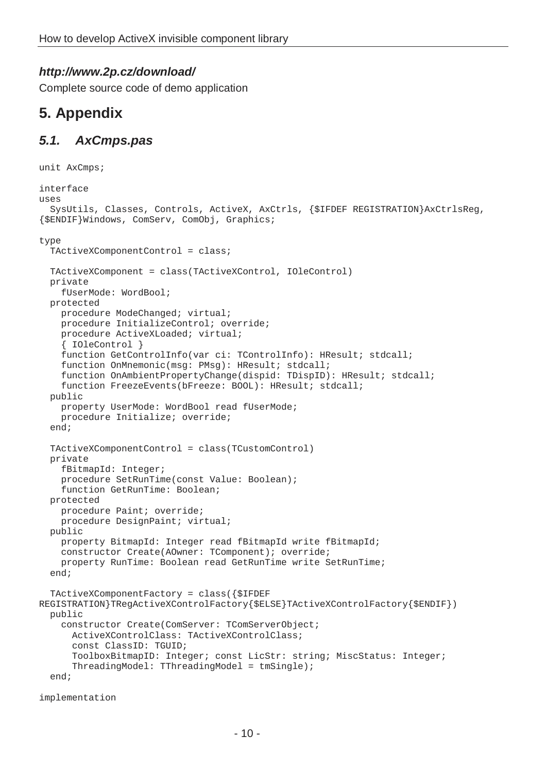## **http://www.2p.cz/download/**

Complete source code of demo application

# **5. Appendix**

# **5.1. AxCmps.pas**

```
unit AxCmps; 
interface 
1190c SysUtils, Classes, Controls, ActiveX, AxCtrls, {$IFDEF REGISTRATION}AxCtrlsReg, 
{$ENDIF}Windows, ComServ, ComObj, Graphics; 
type 
   TActiveXComponentControl = class; 
   TActiveXComponent = class(TActiveXControl, IOleControl) 
   private 
     fUserMode: WordBool; 
   protected 
     procedure ModeChanged; virtual; 
     procedure InitializeControl; override; 
     procedure ActiveXLoaded; virtual; 
     { IOleControl } 
     function GetControlInfo(var ci: TControlInfo): HResult; stdcall; 
     function OnMnemonic(msg: PMsg): HResult; stdcall; 
     function OnAmbientPropertyChange(dispid: TDispID): HResult; stdcall; 
    function FreezeEvents(bFreeze: BOOL): HResult; stdcall;
   public 
     property UserMode: WordBool read fUserMode; 
     procedure Initialize; override; 
   end; 
   TActiveXComponentControl = class(TCustomControl) 
   private 
     fBitmapId: Integer; 
     procedure SetRunTime(const Value: Boolean); 
     function GetRunTime: Boolean; 
   protected 
     procedure Paint; override; 
     procedure DesignPaint; virtual; 
   public 
     property BitmapId: Integer read fBitmapId write fBitmapId; 
     constructor Create(AOwner: TComponent); override; 
     property RunTime: Boolean read GetRunTime write SetRunTime; 
   end; 
   TActiveXComponentFactory = class({$IFDEF 
REGISTRATION}TRegActiveXControlFactory{$ELSE}TActiveXControlFactory{$ENDIF}) 
   public 
     constructor Create(ComServer: TComServerObject;
       ActiveXControlClass: TActiveXControlClass; 
       const ClassID: TGUID; 
       ToolboxBitmapID: Integer; const LicStr: string; MiscStatus: Integer; 
       ThreadingModel: TThreadingModel = tmSingle); 
   end;
```

```
implementation
```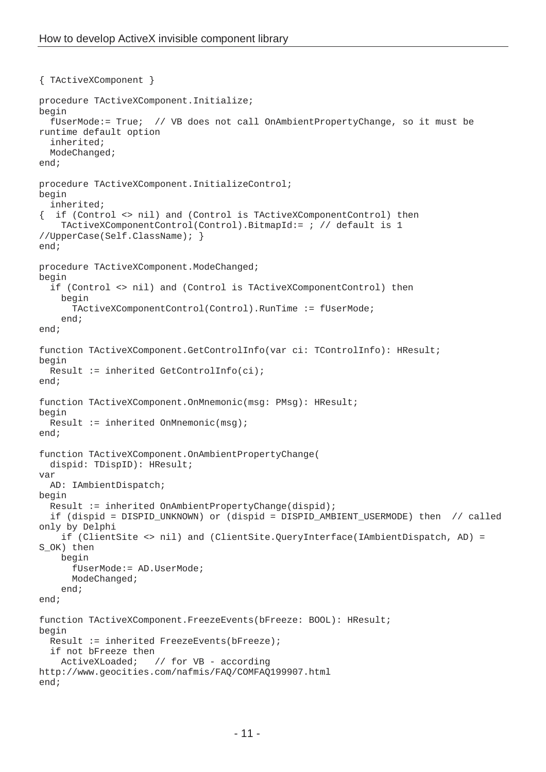```
{ TActiveXComponent } 
procedure TActiveXComponent.Initialize; 
begin 
   fUserMode:= True; // VB does not call OnAmbientPropertyChange, so it must be 
runtime default option 
   inherited; 
   ModeChanged; 
end; 
procedure TActiveXComponent.InitializeControl; 
begin 
   inherited; 
{ if (Control <> nil) and (Control is TActiveXComponentControl) then 
     TActiveXComponentControl(Control).BitmapId:= ; // default is 1 
//UpperCase(Self.ClassName); } 
end; 
procedure TActiveXComponent.ModeChanged;
begin 
   if (Control <> nil) and (Control is TActiveXComponentControl) then 
     begin 
       TActiveXComponentControl(Control).RunTime := fUserMode; 
     end; 
end; 
function TActiveXComponent.GetControlInfo(var ci: TControlInfo): HResult; 
begin 
   Result := inherited GetControlInfo(ci); 
end; 
function TActiveXComponent.OnMnemonic(msg: PMsg): HResult; 
begin 
  Result := inherited OnMnemonic(msq);
end; 
function TActiveXComponent.OnAmbientPropertyChange(
   dispid: TDispID): HResult; 
var 
   AD: IAmbientDispatch; 
begin 
   Result := inherited OnAmbientPropertyChange(dispid); 
   if (dispid = DISPID_UNKNOWN) or (dispid = DISPID_AMBIENT_USERMODE) then // called 
only by Delphi 
     if (ClientSite <> nil) and (ClientSite.QueryInterface(IAmbientDispatch, AD) = 
S OK) then
     begin 
       fUserMode:= AD.UserMode; 
       ModeChanged; 
     end; 
end; 
function TActiveXComponent.FreezeEvents(bFreeze: BOOL): HResult; 
begin 
  Result := inherited FreezeEvents(bFreeze);
   if not bFreeze then 
     ActiveXLoaded; // for VB - according 
http://www.geocities.com/nafmis/FAQ/COMFAQ199907.html 
end;
```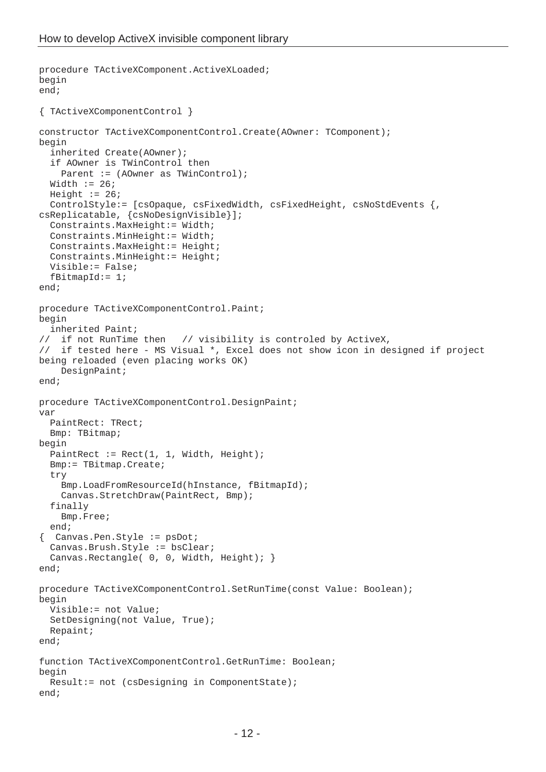```
procedure TActiveXComponent.ActiveXLoaded; 
begin 
end; 
{ TActiveXComponentControl } 
constructor TActiveXComponentControl.Create(AOwner: TComponent); 
begin 
   inherited Create(AOwner); 
   if AOwner is TWinControl then 
    Parent := (AOwner as TWinControl);
  Width := 26;Height := 26; ControlStyle:= [csOpaque, csFixedWidth, csFixedHeight, csNoStdEvents {, 
csReplicatable, {csNoDesignVisible}]; 
   Constraints.MaxHeight:= Width; 
   Constraints.MinHeight:= Width; 
   Constraints.MaxHeight:= Height; 
   Constraints.MinHeight:= Height; 
   Visible:= False; 
  fBitmapId := 1;end; 
procedure TActiveXComponentControl.Paint; 
begin 
   inherited Paint; 
// if not RunTime then // visibility is controled by ActiveX, 
// if tested here - MS Visual *, Excel does not show icon in designed if project 
being reloaded (even placing works OK) 
     DesignPaint; 
end; 
procedure TActiveXComponentControl.DesignPaint; 
var 
   PaintRect: TRect; 
   Bmp: TBitmap; 
begin 
  PaintRect := Rect(1, 1, Width, Height); Bmp:= TBitmap.Create; 
   try 
     Bmp.LoadFromResourceId(hInstance, fBitmapId); 
     Canvas.StretchDraw(PaintRect, Bmp); 
   finally 
     Bmp.Free; 
   end; 
  { Canvas.Pen.Style := psDot; 
   Canvas.Brush.Style := bsClear; 
  Canvas.Rectangle( 0, 0, Width, Height); }
end; 
procedure TActiveXComponentControl.SetRunTime(const Value: Boolean); 
begin 
   Visible:= not Value; 
   SetDesigning(not Value, True); 
   Repaint; 
end; 
function TActiveXComponentControl.GetRunTime: Boolean; 
begin 
   Result:= not (csDesigning in ComponentState); 
end;
```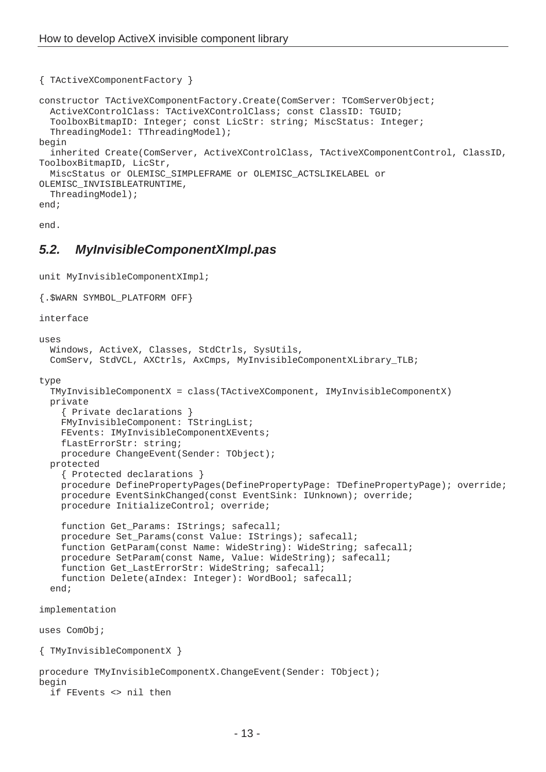```
{ TActiveXComponentFactory } 
constructor TActiveXComponentFactory.Create(ComServer: TComServerObject; 
   ActiveXControlClass: TActiveXControlClass; const ClassID: TGUID; 
   ToolboxBitmapID: Integer; const LicStr: string; MiscStatus: Integer; 
   ThreadingModel: TThreadingModel); 
begin 
   inherited Create(ComServer, ActiveXControlClass, TActiveXComponentControl, ClassID, 
ToolboxBitmapID, LicStr, 
   MiscStatus or OLEMISC_SIMPLEFRAME or OLEMISC_ACTSLIKELABEL or 
OLEMISC_INVISIBLEATRUNTIME, 
   ThreadingModel); 
end;
```
end.

## **5.2. MyInvisibleComponentXImpl.pas**

```
unit MyInvisibleComponentXImpl; 
{.$WARN SYMBOL_PLATFORM OFF} 
interface 
uses 
   Windows, ActiveX, Classes, StdCtrls, SysUtils, 
  ComServ, StdVCL, AXCtrls, AxCmps, MyInvisibleComponentXLibrary_TLB;
type 
   TMyInvisibleComponentX = class(TActiveXComponent, IMyInvisibleComponentX) 
   private 
     { Private declarations } 
     FMyInvisibleComponent: TStringList; 
     FEvents: IMyInvisibleComponentXEvents; 
     fLastErrorStr: string; 
     procedure ChangeEvent(Sender: TObject); 
   protected 
     { Protected declarations } 
     procedure DefinePropertyPages(DefinePropertyPage: TDefinePropertyPage); override; 
     procedure EventSinkChanged(const EventSink: IUnknown); override; 
     procedure InitializeControl; override; 
     function Get_Params: IStrings; safecall; 
    procedure Set Params(const Value: IStrings); safecall;
     function GetParam(const Name: WideString): WideString; safecall; 
     procedure SetParam(const Name, Value: WideString); safecall; 
    function Get LastErrorStr: WideString; safecall;
     function Delete(aIndex: Integer): WordBool; safecall; 
   end; 
implementation 
uses ComObj; 
{ TMyInvisibleComponentX } 
procedure TMyInvisibleComponentX.ChangeEvent(Sender: TObject); 
begin 
   if FEvents <> nil then
```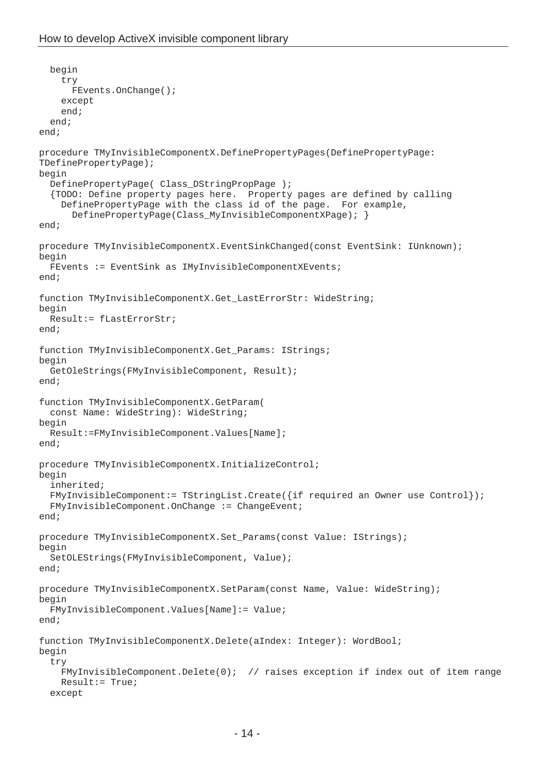```
 begin 
     try 
       FEvents.OnChange(); 
     except 
     end; 
   end; 
end; 
procedure TMyInvisibleComponentX.DefinePropertyPages(DefinePropertyPage: 
TDefinePropertyPage); 
begin 
   DefinePropertyPage( Class_DStringPropPage ); 
   {TODO: Define property pages here. Property pages are defined by calling 
     DefinePropertyPage with the class id of the page. For example, 
       DefinePropertyPage(Class_MyInvisibleComponentXPage); } 
end; 
procedure TMyInvisibleComponentX.EventSinkChanged(const EventSink: IUnknown); 
begin 
   FEvents := EventSink as IMyInvisibleComponentXEvents; 
end; 
function TMyInvisibleComponentX.Get_LastErrorStr: WideString; 
begin 
   Result:= fLastErrorStr; 
end; 
function TMyInvisibleComponentX.Get_Params: IStrings; 
begin 
   GetOleStrings(FMyInvisibleComponent, Result); 
end; 
function TMyInvisibleComponentX.GetParam( 
   const Name: WideString): WideString; 
begin 
   Result:=FMyInvisibleComponent.Values[Name]; 
end; 
procedure TMyInvisibleComponentX.InitializeControl;
begin 
   inherited; 
   FMyInvisibleComponent:= TStringList.Create({if required an Owner use Control}); 
   FMyInvisibleComponent.OnChange := ChangeEvent; 
end; 
procedure TMyInvisibleComponentX.Set_Params(const Value: IStrings); 
begin 
   SetOLEStrings(FMyInvisibleComponent, Value); 
end; 
procedure TMyInvisibleComponentX.SetParam(const Name, Value: WideString); 
begin 
   FMyInvisibleComponent.Values[Name]:= Value; 
end; 
function TMyInvisibleComponentX.Delete(aIndex: Integer): WordBool; 
begin 
   try 
     FMyInvisibleComponent.Delete(0); // raises exception if index out of item range 
     Result:= True; 
   except
```